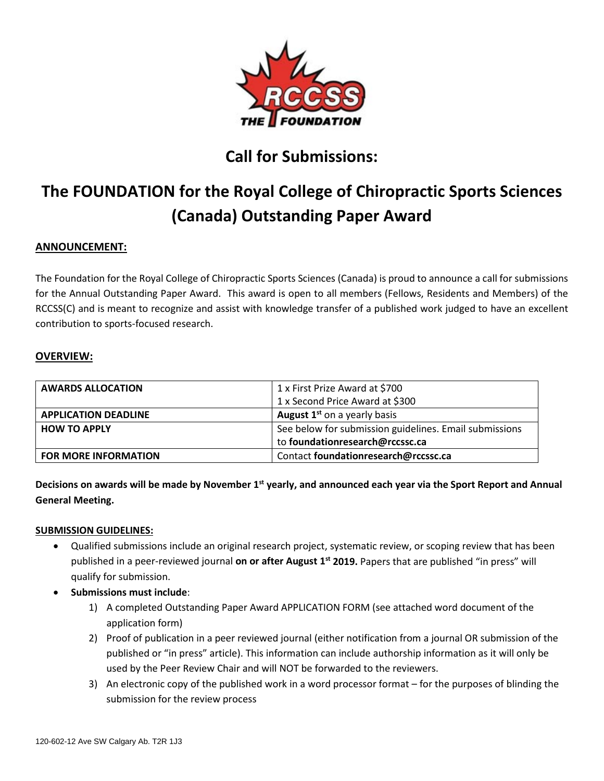

# **Call for Submissions:**

# **The FOUNDATION for the Royal College of Chiropractic Sports Sciences (Canada) Outstanding Paper Award**

# **ANNOUNCEMENT:**

The Foundation for the Royal College of Chiropractic Sports Sciences (Canada) is proud to announce a call for submissions for the Annual Outstanding Paper Award. This award is open to all members (Fellows, Residents and Members) of the RCCSS(C) and is meant to recognize and assist with knowledge transfer of a published work judged to have an excellent contribution to sports-focused research.

### **OVERVIEW:**

| <b>AWARDS ALLOCATION</b>    | 1 x First Prize Award at \$700                         |
|-----------------------------|--------------------------------------------------------|
|                             | 1 x Second Price Award at \$300                        |
| <b>APPLICATION DEADLINE</b> | <b>August 1st on a yearly basis</b>                    |
| <b>HOW TO APPLY</b>         | See below for submission guidelines. Email submissions |
|                             | to foundationresearch@rccssc.ca                        |
| <b>FOR MORE INFORMATION</b> | Contact foundationresearch@rccssc.ca                   |

**Decisions on awards will be made by November 1st yearly, and announced each year via the Sport Report and Annual General Meeting.**

#### **SUBMISSION GUIDELINES:**

- Qualified submissions include an original research project, systematic review, or scoping review that has been published in a peer-reviewed journal **on or after August 1st 2019.** Papers that are published "in press" will qualify for submission.
- **Submissions must include**:
	- 1) A completed Outstanding Paper Award APPLICATION FORM (see attached word document of the application form)
	- 2) Proof of publication in a peer reviewed journal (either notification from a journal OR submission of the published or "in press" article). This information can include authorship information as it will only be used by the Peer Review Chair and will NOT be forwarded to the reviewers.
	- 3) An electronic copy of the published work in a word processor format for the purposes of blinding the submission for the review process